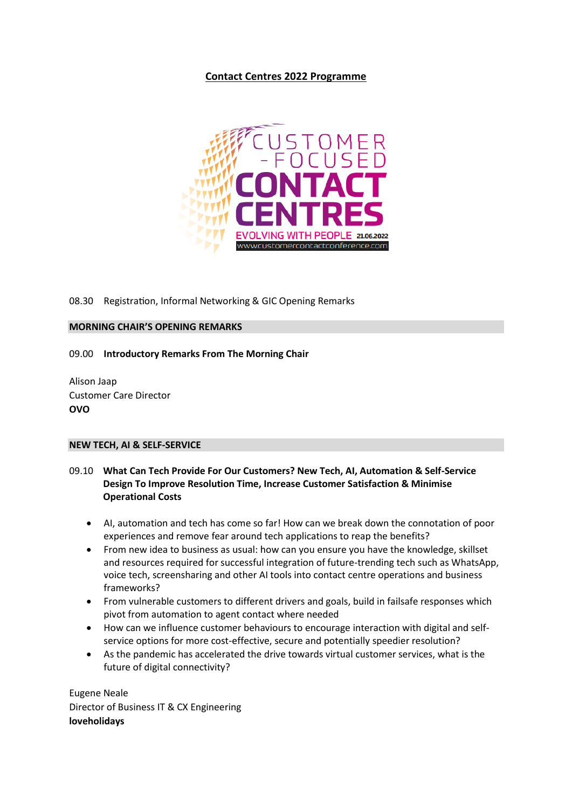# **Contact Centres 2022 Programme**



## 08.30 Registration, Informal Networking & GIC Opening Remarks

### **MORNING CHAIR'S OPENING REMARKS**

09.00 **Introductory Remarks From The Morning Chair**

Alison Jaap Customer Care Director **OVO**

## **NEW TECH, AI & SELF-SERVICE**

# 09.10 **What Can Tech Provide For Our Customers? New Tech, AI, Automation & Self-Service Design To Improve Resolution Time, Increase Customer Satisfaction & Minimise Operational Costs**

- AI, automation and tech has come so far! How can we break down the connotation of poor experiences and remove fear around tech applications to reap the benefits?
- From new idea to business as usual: how can you ensure you have the knowledge, skillset and resources required for successful integration of future-trending tech such as WhatsApp, voice tech, screensharing and other AI tools into contact centre operations and business frameworks?
- From vulnerable customers to different drivers and goals, build in failsafe responses which pivot from automation to agent contact where needed
- How can we influence customer behaviours to encourage interaction with digital and selfservice options for more cost-effective, secure and potentially speedier resolution?
- As the pandemic has accelerated the drive towards virtual customer services, what is the future of digital connectivity?

Eugene Neale Director of Business IT & CX Engineering **loveholidays**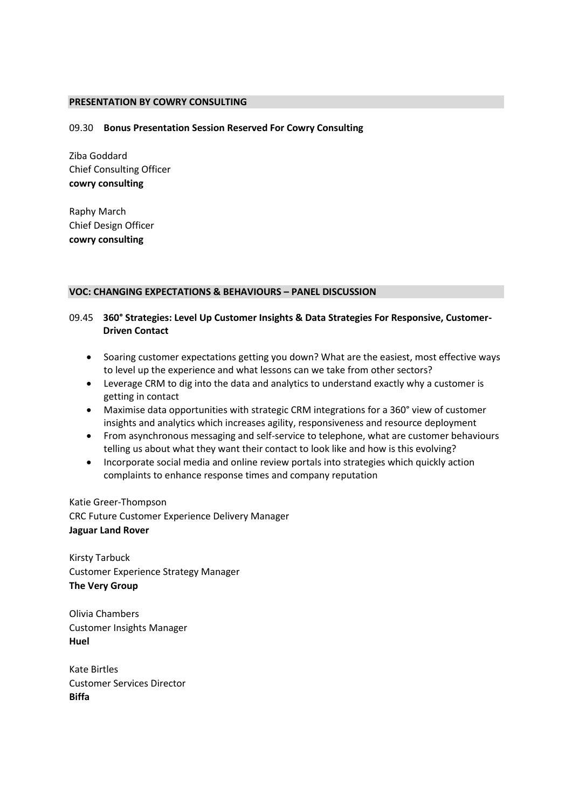### **PRESENTATION BY COWRY CONSULTING**

#### 09.30 **Bonus Presentation Session Reserved For Cowry Consulting**

Ziba Goddard Chief Consulting Officer **cowry consulting**

Raphy March Chief Design Officer **cowry consulting**

#### **VOC: CHANGING EXPECTATIONS & BEHAVIOURS – PANEL DISCUSSION**

## 09.45 **360° Strategies: Level Up Customer Insights & Data Strategies For Responsive, Customer-Driven Contact**

- Soaring customer expectations getting you down? What are the easiest, most effective ways to level up the experience and what lessons can we take from other sectors?
- Leverage CRM to dig into the data and analytics to understand exactly why a customer is getting in contact
- Maximise data opportunities with strategic CRM integrations for a 360° view of customer insights and analytics which increases agility, responsiveness and resource deployment
- From asynchronous messaging and self-service to telephone, what are customer behaviours telling us about what they want their contact to look like and how is this evolving?
- Incorporate social media and online review portals into strategies which quickly action complaints to enhance response times and company reputation

Katie Greer-Thompson CRC Future Customer Experience Delivery Manager **Jaguar Land Rover**

Kirsty Tarbuck Customer Experience Strategy Manager **The Very Group**

Olivia Chambers Customer Insights Manager **Huel**

Kate Birtles Customer Services Director **Biffa**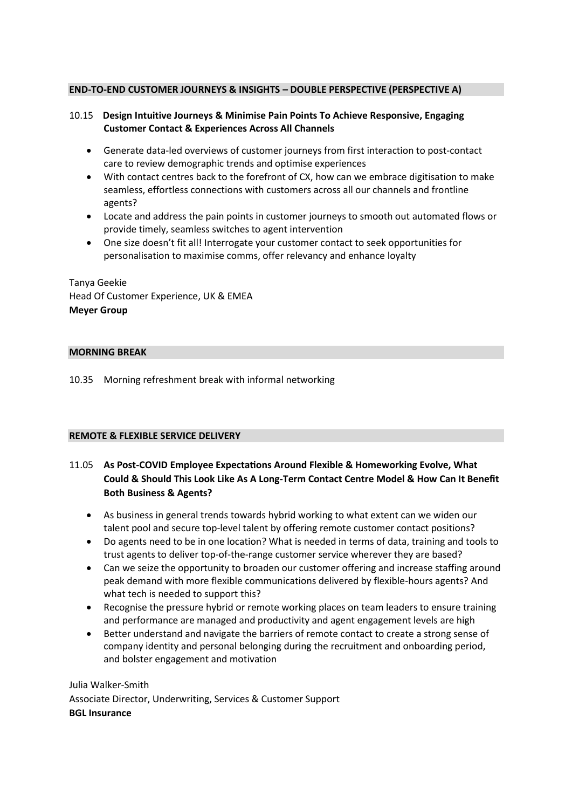## **END-TO-END CUSTOMER JOURNEYS & INSIGHTS – DOUBLE PERSPECTIVE (PERSPECTIVE A)**

## 10.15 **Design Intuitive Journeys & Minimise Pain Points To Achieve Responsive, Engaging Customer Contact & Experiences Across All Channels**

- Generate data-led overviews of customer journeys from first interaction to post-contact care to review demographic trends and optimise experiences
- With contact centres back to the forefront of CX, how can we embrace digitisation to make seamless, effortless connections with customers across all our channels and frontline agents?
- Locate and address the pain points in customer journeys to smooth out automated flows or provide timely, seamless switches to agent intervention
- One size doesn't fit all! Interrogate your customer contact to seek opportunities for personalisation to maximise comms, offer relevancy and enhance loyalty

Tanya Geekie Head Of Customer Experience, UK & EMEA **Meyer Group**

## **MORNING BREAK**

10.35 Morning refreshment break with informal networking

## **REMOTE & FLEXIBLE SERVICE DELIVERY**

# 11.05 **As Post-COVID Employee Expectations Around Flexible & Homeworking Evolve, What Could & Should This Look Like As A Long-Term Contact Centre Model & How Can It Benefit Both Business & Agents?**

- As business in general trends towards hybrid working to what extent can we widen our talent pool and secure top-level talent by offering remote customer contact positions?
- Do agents need to be in one location? What is needed in terms of data, training and tools to trust agents to deliver top-of-the-range customer service wherever they are based?
- Can we seize the opportunity to broaden our customer offering and increase staffing around peak demand with more flexible communications delivered by flexible-hours agents? And what tech is needed to support this?
- Recognise the pressure hybrid or remote working places on team leaders to ensure training and performance are managed and productivity and agent engagement levels are high
- Better understand and navigate the barriers of remote contact to create a strong sense of company identity and personal belonging during the recruitment and onboarding period, and bolster engagement and motivation

Julia Walker-Smith Associate Director, Underwriting, Services & Customer Support **BGL Insurance**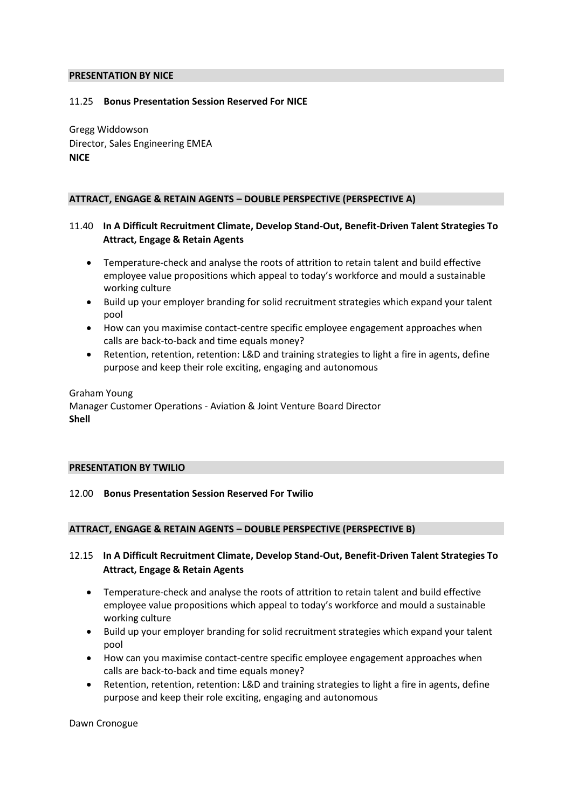#### **PRESENTATION BY NICE**

## 11.25 **Bonus Presentation Session Reserved For NICE**

Gregg Widdowson Director, Sales Engineering EMEA **NICE**

## **ATTRACT, ENGAGE & RETAIN AGENTS – DOUBLE PERSPECTIVE (PERSPECTIVE A)**

# 11.40 **In A Difficult Recruitment Climate, Develop Stand-Out, Benefit-Driven Talent Strategies To Attract, Engage & Retain Agents**

- Temperature-check and analyse the roots of attrition to retain talent and build effective employee value propositions which appeal to today's workforce and mould a sustainable working culture
- Build up your employer branding for solid recruitment strategies which expand your talent pool
- How can you maximise contact-centre specific employee engagement approaches when calls are back-to-back and time equals money?
- Retention, retention, retention: L&D and training strategies to light a fire in agents, define purpose and keep their role exciting, engaging and autonomous

Graham Young Manager Customer Operations - Aviation & Joint Venture Board Director **Shell**

#### **PRESENTATION BY TWILIO**

## 12.00 **Bonus Presentation Session Reserved For Twilio**

## **ATTRACT, ENGAGE & RETAIN AGENTS – DOUBLE PERSPECTIVE (PERSPECTIVE B)**

## 12.15 **In A Difficult Recruitment Climate, Develop Stand-Out, Benefit-Driven Talent Strategies To Attract, Engage & Retain Agents**

- Temperature-check and analyse the roots of attrition to retain talent and build effective employee value propositions which appeal to today's workforce and mould a sustainable working culture
- Build up your employer branding for solid recruitment strategies which expand your talent pool
- How can you maximise contact-centre specific employee engagement approaches when calls are back-to-back and time equals money?
- Retention, retention, retention: L&D and training strategies to light a fire in agents, define purpose and keep their role exciting, engaging and autonomous

Dawn Cronogue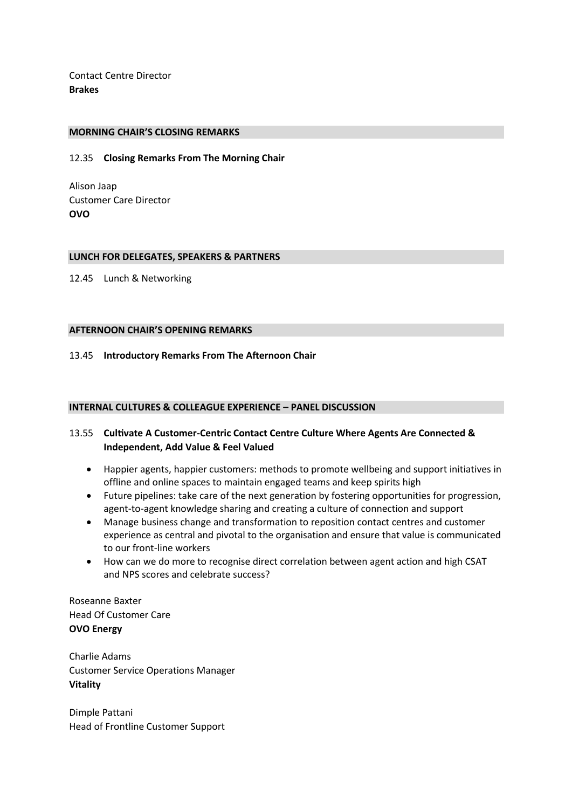Contact Centre Director **Brakes**

#### **MORNING CHAIR'S CLOSING REMARKS**

12.35 **Closing Remarks From The Morning Chair**

Alison Jaap Customer Care Director **OVO**

#### **LUNCH FOR DELEGATES, SPEAKERS & PARTNERS**

12.45 Lunch & Networking

### **AFTERNOON CHAIR'S OPENING REMARKS**

13.45 **Introductory Remarks From The Afternoon Chair**

## **INTERNAL CULTURES & COLLEAGUE EXPERIENCE – PANEL DISCUSSION**

## 13.55 **Cultivate A Customer-Centric Contact Centre Culture Where Agents Are Connected & Independent, Add Value & Feel Valued**

- Happier agents, happier customers: methods to promote wellbeing and support initiatives in offline and online spaces to maintain engaged teams and keep spirits high
- Future pipelines: take care of the next generation by fostering opportunities for progression, agent-to-agent knowledge sharing and creating a culture of connection and support
- Manage business change and transformation to reposition contact centres and customer experience as central and pivotal to the organisation and ensure that value is communicated to our front-line workers
- How can we do more to recognise direct correlation between agent action and high CSAT and NPS scores and celebrate success?

Roseanne Baxter Head Of Customer Care **OVO Energy**

Charlie Adams Customer Service Operations Manager **Vitality**

Dimple Pattani Head of Frontline Customer Support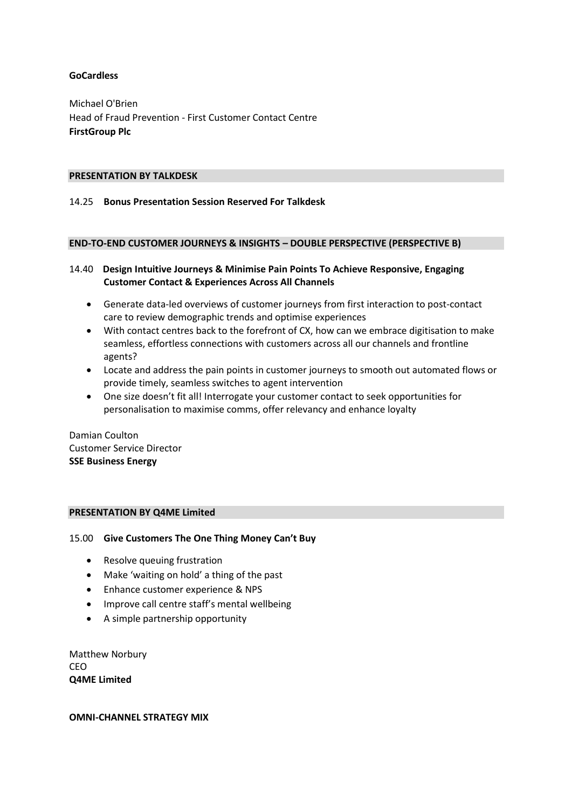## **GoCardless**

Michael O'Brien Head of Fraud Prevention - First Customer Contact Centre **FirstGroup Plc**

### **PRESENTATION BY TALKDESK**

## 14.25 **Bonus Presentation Session Reserved For Talkdesk**

### **END-TO-END CUSTOMER JOURNEYS & INSIGHTS – DOUBLE PERSPECTIVE (PERSPECTIVE B)**

## 14.40 **Design Intuitive Journeys & Minimise Pain Points To Achieve Responsive, Engaging Customer Contact & Experiences Across All Channels**

- Generate data-led overviews of customer journeys from first interaction to post-contact care to review demographic trends and optimise experiences
- With contact centres back to the forefront of CX, how can we embrace digitisation to make seamless, effortless connections with customers across all our channels and frontline agents?
- Locate and address the pain points in customer journeys to smooth out automated flows or provide timely, seamless switches to agent intervention
- One size doesn't fit all! Interrogate your customer contact to seek opportunities for personalisation to maximise comms, offer relevancy and enhance loyalty

Damian Coulton Customer Service Director **SSE Business Energy**

## **PRESENTATION BY Q4ME Limited**

## 15.00 **Give Customers The One Thing Money Can't Buy**

- Resolve queuing frustration
- Make 'waiting on hold' a thing of the past
- Enhance customer experience & NPS
- Improve call centre staff's mental wellbeing
- A simple partnership opportunity

Matthew Norbury **CEO Q4ME Limited**

#### **OMNI-CHANNEL STRATEGY MIX**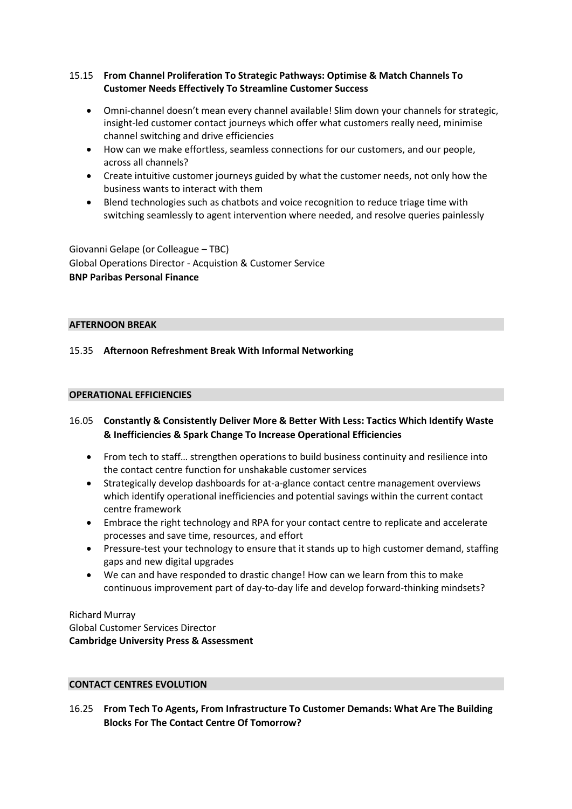# 15.15 **From Channel Proliferation To Strategic Pathways: Optimise & Match Channels To Customer Needs Effectively To Streamline Customer Success**

- Omni-channel doesn't mean every channel available! Slim down your channels for strategic, insight-led customer contact journeys which offer what customers really need, minimise channel switching and drive efficiencies
- How can we make effortless, seamless connections for our customers, and our people, across all channels?
- Create intuitive customer journeys guided by what the customer needs, not only how the business wants to interact with them
- Blend technologies such as chatbots and voice recognition to reduce triage time with switching seamlessly to agent intervention where needed, and resolve queries painlessly

Giovanni Gelape (or Colleague – TBC) Global Operations Director - Acquistion & Customer Service **BNP Paribas Personal Finance**

## **AFTERNOON BREAK**

# 15.35 **Afternoon Refreshment Break With Informal Networking**

# **OPERATIONAL EFFICIENCIES**

# 16.05 **Constantly & Consistently Deliver More & Better With Less: Tactics Which Identify Waste & Inefficiencies & Spark Change To Increase Operational Efficiencies**

- From tech to staff… strengthen operations to build business continuity and resilience into the contact centre function for unshakable customer services
- Strategically develop dashboards for at-a-glance contact centre management overviews which identify operational inefficiencies and potential savings within the current contact centre framework
- Embrace the right technology and RPA for your contact centre to replicate and accelerate processes and save time, resources, and effort
- Pressure-test your technology to ensure that it stands up to high customer demand, staffing gaps and new digital upgrades
- We can and have responded to drastic change! How can we learn from this to make continuous improvement part of day-to-day life and develop forward-thinking mindsets?

Richard Murray Global Customer Services Director **Cambridge University Press & Assessment**

## **CONTACT CENTRES EVOLUTION**

16.25 **From Tech To Agents, From Infrastructure To Customer Demands: What Are The Building Blocks For The Contact Centre Of Tomorrow?**